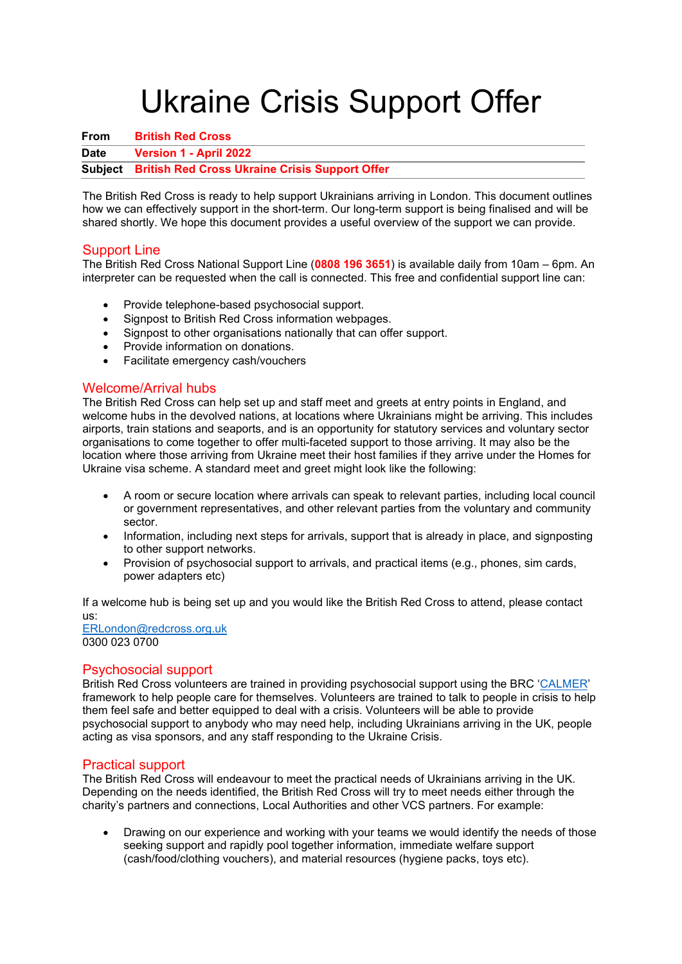# Ukraine Crisis Support Offer

**From British Red Cross Date Version 1 - April 2022 Subject British Red Cross Ukraine Crisis Support Offer**

The British Red Cross is ready to help support Ukrainians arriving in London. This document outlines how we can effectively support in the short-term. Our long-term support is being finalised and will be shared shortly. We hope this document provides a useful overview of the support we can provide.

# Support Line

The British Red Cross National Support Line (**0808 196 3651**) is available daily from 10am – 6pm. An interpreter can be requested when the call is connected. This free and confidential support line can:

- Provide telephone-based psychosocial support.
- Signpost to British Red Cross information webpages.
- Signpost to other organisations nationally that can offer support.
- Provide information on donations.
- Facilitate emergency cash/vouchers

## Welcome/Arrival hubs

The British Red Cross can help set up and staff meet and greets at entry points in England, and welcome hubs in the devolved nations, at locations where Ukrainians might be arriving. This includes airports, train stations and seaports, and is an opportunity for statutory services and voluntary sector organisations to come together to offer multi-faceted support to those arriving. It may also be the location where those arriving from Ukraine meet their host families if they arrive under the Homes for Ukraine visa scheme. A standard meet and greet might look like the following:

- A room or secure location where arrivals can speak to relevant parties, including local council or government representatives, and other relevant parties from the voluntary and community sector.
- Information, including next steps for arrivals, support that is already in place, and signposting to other support networks.
- Provision of psychosocial support to arrivals, and practical items (e.g., phones, sim cards, power adapters etc)

If a welcome hub is being set up and you would like the British Red Cross to attend, please contact us:

[ERLondon@redcross.org.uk](mailto:ERLondon@redcross.org.uk) 0300 023 0700

# Psychosocial support

British Red Cross volunteers are trained in providing psychosocial support using the BRC 'CALMER' framework to help people care for themselves. Volunteers are trained to talk to people in crisis to help them feel safe and better equipped to deal with a crisis. Volunteers will be able to provide psychosocial support to anybody who may need help, including Ukrainians arriving in the UK, people acting as visa sponsors, and any staff responding to the Ukraine Crisis.

#### Practical support

The British Red Cross will endeavour to meet the practical needs of Ukrainians arriving in the UK. Depending on the needs identified, the British Red Cross will try to meet needs either through the charity's partners and connections, Local Authorities and other VCS partners. For example:

• Drawing on our experience and working with your teams we would identify the needs of those seeking support and rapidly pool together information, immediate welfare support (cash/food/clothing vouchers), and material resources (hygiene packs, toys etc).